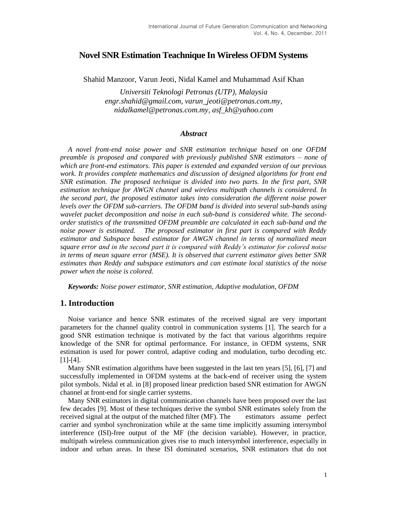# **Novel SNR Estimation Teachnique In Wireless OFDM Systems**

Shahid Manzoor, Varun Jeoti, Nidal Kamel and Muhammad Asif Khan

*Universiti Teknologi Petronas (UTP), Malaysia engr.shahid@gmail.com, varun\_jeoti@petronas.com.my, nidalkamel@petronas.com.my, asf\_kh@yahoo.com*

#### *Abstract*

*A novel front-end noise power and SNR estimation technique based on one OFDM preamble is proposed and compared with previously published SNR estimators – none of which are front-end estimators. This paper is extended and expanded version of our previous work. It provides complete mathematics and discussion of designed algorithms for front end SNR estimation. The proposed technique is divided into two parts. In the first part, SNR estimation technique for AWGN channel and wireless multipath channels is considered. In the second part, the proposed estimator takes into consideration the different noise power levels over the OFDM sub-carriers. The OFDM band is divided into several sub-bands using wavelet packet decomposition and noise in each sub-band is considered white. The secondorder statistics of the transmitted OFDM preamble are calculated in each sub-band and the noise power is estimated. The proposed estimator in first part is compared with Reddy estimator and Subspace based estimator for AWGN channel in terms of normalized mean square error and in the second part it is compared with Reddy's estimator for colored noise in terms of mean square error (MSE). It is observed that current estimator gives better SNR estimates than Reddy and subspace estimators and can estimate local statistics of the noise power when the noise is colored.*

*Keywords: Noise power estimator, SNR estimation, Adaptive modulation, OFDM*

## **1. Introduction**

Noise variance and hence SNR estimates of the received signal are very important parameters for the channel quality control in communication systems [1]. The search for a good SNR estimation technique is motivated by the fact that various algorithms require knowledge of the SNR for optimal performance. For instance, in OFDM systems, SNR estimation is used for power control, adaptive coding and modulation, turbo decoding etc. [1]-[4].

Many SNR estimation algorithms have been suggested in the last ten years [5], [6], [7] and successfully implemented in OFDM systems at the back-end of receiver using the system pilot symbols. Nidal et al. in [8] proposed linear prediction based SNR estimation for AWGN channel at front-end for single carrier systems.

Many SNR estimators in digital communication channels have been proposed over the last few decades [9]. Most of these techniques derive the symbol SNR estimates solely from the received signal at the output of the matched filter (MF). The estimators assume perfect carrier and symbol synchronization while at the same time implicitly assuming intersymbol interference (ISI)-free output of the MF (the decision variable). However, in practice, multipath wireless communication gives rise to much intersymbol interference, especially in indoor and urban areas. In these ISI dominated scenarios, SNR estimators that do not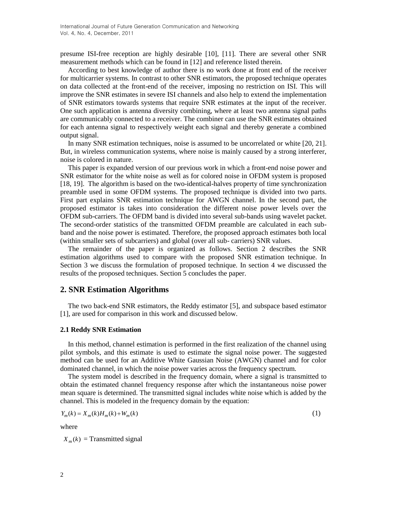presume ISI-free reception are highly desirable [10], [11]. There are several other SNR measurement methods which can be found in [12] and reference listed therein.

According to best knowledge of author there is no work done at front end of the receiver for multicarrier systems. In contrast to other SNR estimators, the proposed technique operates on data collected at the front-end of the receiver, imposing no restriction on ISI. This will improve the SNR estimates in severe ISI channels and also help to extend the implementation of SNR estimators towards systems that require SNR estimates at the input of the receiver. One such application is antenna diversity combining, where at least two antenna signal paths are communicably connected to a receiver. The combiner can use the SNR estimates obtained for each antenna signal to respectively weight each signal and thereby generate a combined output signal.

In many SNR estimation techniques, noise is assumed to be uncorrelated or white [20, 21]. But, in wireless communication systems, where noise is mainly caused by a strong interferer, noise is colored in nature.

This paper is expanded version of our previous work in which a front-end noise power and SNR estimator for the white noise as well as for colored noise in OFDM system is proposed [18, 19]. The algorithm is based on the two-identical-halves property of time synchronization preamble used in some OFDM systems. The proposed technique is divided into two parts. First part explains SNR estimation technique for AWGN channel. In the second part, the proposed estimator is takes into consideration the different noise power levels over the OFDM sub-carriers. The OFDM band is divided into several sub-bands using wavelet packet. The second-order statistics of the transmitted OFDM preamble are calculated in each subband and the noise power is estimated. Therefore, the proposed approach estimates both local (within smaller sets of subcarriers) and global (over all sub- carriers) SNR values.

The remainder of the paper is organized as follows. Section 2 describes the SNR estimation algorithms used to compare with the proposed SNR estimation technique. In Section 3 we discuss the formulation of proposed technique. In section 4 we discussed the results of the proposed techniques. Section 5 concludes the paper.

## **2. SNR Estimation Algorithms**

The two back-end SNR estimators, the Reddy estimator [5], and subspace based estimator [1], are used for comparison in this work and discussed below.

#### **2.1 Reddy SNR Estimation**

In this method, channel estimation is performed in the first realization of the channel using pilot symbols, and this estimate is used to estimate the signal noise power. The suggested method can be used for an Additive White Gaussian Noise (AWGN) channel and for color dominated channel, in which the noise power varies across the frequency spectrum.

The system model is described in the frequency domain, where a signal is transmitted to obtain the estimated channel frequency response after which the instantaneous noise power mean square is determined. The transmitted signal includes white noise which is added by the channel. This is modeled in the frequency domain by the equation:

$$
Y_m(k) = X_m(k)H_m(k) + W_m(k)
$$
\n(1)

where

 $X_m(k)$  = Transmitted signal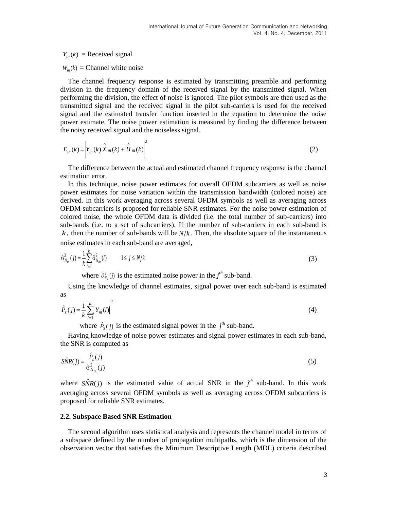$Y_m(k)$  = Received signal

 $W_m(k)$  = Channel white noise

The channel frequency response is estimated by transmitting preamble and performing division in the frequency domain of the received signal by the transmitted signal. When performing the division, the effect of noise is ignored. The pilot symbols are then used as the transmitted signal and the received signal in the pilot sub-carriers is used for the received signal and the estimated transfer function inserted in the equation to determine the noise power estimate. The noise power estimation is measured by finding the difference between the noisy received signal and the noiseless signal.

$$
E_m(k) = \left| Y_m(k) \hat{X}_m(k) + \hat{H}_m(k) \right|^2
$$
 (2)

The difference between the actual and estimated channel frequency response is the channel estimation error.

In this technique, noise power estimates for overall OFDM subcarriers as well as noise power estimates for noise variation within the transmission bandwidth (colored noise) are derived. In this work averaging across several OFDM symbols as well as averaging across OFDM subcarriers is proposed for reliable SNR estimates. For the noise power estimation of colored noise, the whole OFDM data is divided (i.e. the total number of sub-carriers) into sub-bands (i.e. to a set of subcarriers). If the number of sub-carriers in each sub-band is  $k$ , then the number of sub-bands will be  $N/k$ . Then, the absolute square of the instantaneous noise estimates in each sub-band are averaged,

$$
\hat{\sigma}_{N_m}^2(j) = \frac{1}{k} \sum_{l=1}^k \hat{\sigma}_{N_m}^2(l) \qquad 1 \le j \le N/k \tag{3}
$$

where  $\hat{\sigma}_{N_m}^2(j)$  is the estimated noise power in the  $j^{\text{th}}$  sub-band.

Using the knowledge of channel estimates, signal power over each sub-band is estimated as

$$
\hat{P}_s(j) = \frac{1}{k} \sum_{l=1}^k |Y_m(l)|^2
$$
\n(4)

where  $\hat{P}_s(j)$  is the estimated signal power in the  $j^{th}$  sub-band.

Having knowledge of noise power estimates and signal power estimates in each sub-band, the SNR is computed as

$$
\hat{SNR}(j) = \frac{\hat{P}_s(j)}{\hat{\sigma}_{N_m}^2(j)}\tag{5}
$$

where  $S\hat{N}R(j)$  is the estimated value of actual SNR in the  $j^{th}$  sub-band. In this work averaging across several OFDM symbols as well as averaging across OFDM subcarriers is proposed for reliable SNR estimates.

#### **2.2. Subspace Based SNR Estimation**

The second algorithm uses statistical analysis and represents the channel model in terms of a subspace defined by the number of propagation multipaths, which is the dimension of the observation vector that satisfies the Minimum Descriptive Length (MDL) criteria described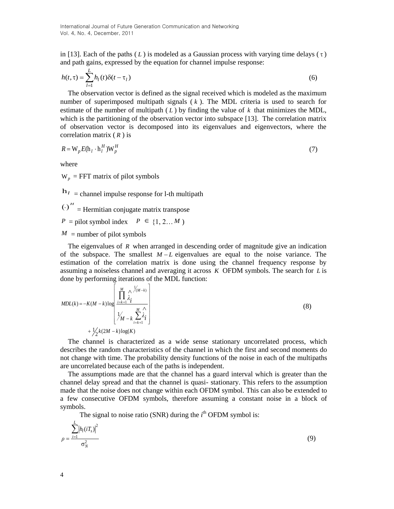in [13]. Each of the paths  $(L)$  is modeled as a Gaussian process with varying time delays  $(\tau)$ and path gains, expressed by the equation for channel impulse response:

$$
h(t,\tau) = \sum_{l=1}^{L} h_l(t)\delta(t-\tau_l)
$$
\n(6)

The observation vector is defined as the signal received which is modeled as the maximum number of superimposed multipath signals ( *k* ). The MDL criteria is used to search for estimate of the number of multipath  $(L)$  by finding the value of  $k$  that minimizes the MDL, which is the partitioning of the observation vector into subspace [13]. The correlation matrix of observation vector is decomposed into its eigenvalues and eigenvectors, where the correlation matrix ( *R* ) is

$$
R = W_p E(h_l \cdot h_l^H) W_p^H
$$
 (7)

where

 $W_p$  = FFT matrix of pilot symbols

 $h_l$  = channel impulse response for l-th multipath

 $\left(\cdot\right)^{H}$  = Hermitian conjugate matrix transpose

 $P = \text{pilot symbol index}$   $P \in \{1, 2...M\}$ 

 $M =$  number of pilot symbols

The eigenvalues of R when arranged in descending order of magnitude give an indication of the subspace. The smallest  $M - L$  eigenvalues are equal to the noise variance. The estimation of the correlation matrix is done using the channel frequency response by assuming a noiseless channel and averaging it across *K* OFDM symbols. The search for *L* is done by performing iterations of the MDL function:

$$
MDL(k) = -K(M-k)\log\left[\frac{\prod_{i=k+1}^{M} \lambda_i^{1/(M-k)}}{\prod_{i=k+1}^{M} \lambda_i^{1/(M-k)}}\right] + \frac{1}{2}k(2M-k)\log(K)
$$
\n(8)

The channel is characterized as a wide sense stationary uncorrelated process, which describes the random characteristics of the channel in which the first and second moments do not change with time. The probability density functions of the noise in each of the multipaths are uncorrelated because each of the paths is independent.

The assumptions made are that the channel has a guard interval which is greater than the channel delay spread and that the channel is quasi- stationary. This refers to the assumption made that the noise does not change within each OFDM symbol. This can also be extended to a few consecutive OFDM symbols, therefore assuming a constant noise in a block of symbols.

The signal to noise ratio (SNR) during the *i*<sup>th</sup> OFDM symbol is:

$$
\rho = \frac{\sum_{i=1}^{L} |h_i(iT_s)|^2}{\sigma_N^2} \tag{9}
$$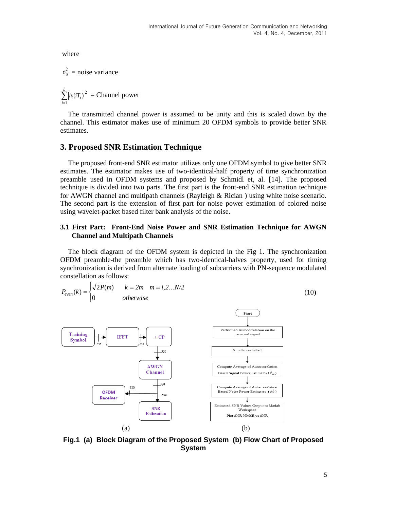where

 $\sigma_N^2$  = noise variance

 $\sum^L$  $=$ *i*  $\left( \frac{h_l}{i} \right)^2$  = Channel power 1

The transmitted channel power is assumed to be unity and this is scaled down by the channel. This estimator makes use of minimum 20 OFDM symbols to provide better SNR estimates.

## **3. Proposed SNR Estimation Technique**

The proposed front-end SNR estimator utilizes only one OFDM symbol to give better SNR estimates. The estimator makes use of two-identical-half property of time synchronization preamble used in OFDM systems and proposed by Schmidl et, al. [14]. The proposed technique is divided into two parts. The first part is the front-end SNR estimation technique for AWGN channel and multipath channels (Rayleigh & Rician ) using white noise scenario. The second part is the extension of first part for noise power estimation of colored noise using wavelet-packet based filter bank analysis of the noise.

### **3.1 First Part: Front-End Noise Power and SNR Estimation Technique for AWGN Channel and Multipath Channels**

The block diagram of the OFDM system is depicted in the Fig 1. The synchronization OFDM preamble-the preamble which has two-identical-halves property, used for timing synchronization is derived from alternate loading of subcarriers with PN-sequence modulated constellation as follows:



**Fig.1 (a) Block Diagram of the Proposed System (b) Flow Chart of Proposed System**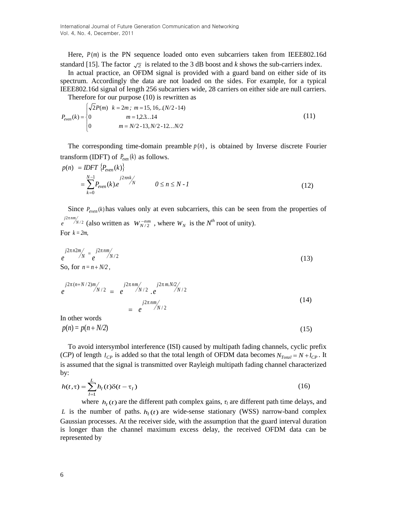Here,  $P(m)$  is the PN sequence loaded onto even subcarriers taken from IEEE802.16d standard [15]. The factor  $\sqrt{2}$  is related to the 3 dB boost and *k* shows the sub-carriers index.

In actual practice, an OFDM signal is provided with a guard band on either side of its spectrum. Accordingly the data are not loaded on the sides. For example, for a typical IEEE802.16d signal of length 256 subcarriers wide, 28 carriers on either side are null carriers.

Therefore for our purpose (10) is rewritten as  
\n
$$
P_{even}(k) =\begin{cases}\n\sqrt{2}P(m) & k = 2m; m = 15, 16, .(N/2 - 14) \\
0 & m = 1, 2.3...14 \\
0 & m = N/2 - 13, N/2 - 12...N/2\n\end{cases}
$$
\n(11)

The corresponding time-domain preamble  $p(n)$ , is obtained by Inverse discrete Fourier transform (IDFT) of  $P_{even}(k)$  as follows.

$$
p(n) = IDFT \{P_{even}(k)\}
$$
  
= 
$$
\sum_{k=0}^{N-1} P_{even}(k)e^{j2\pi nk/N}
$$
  $0 \le n \le N-1$  (12)

Since  $P_{even}(k)$  has values only at even subcarriers, this can be seen from the properties of  $e^{j2\pi n m /N/2}$  (also written as  $W_{N/2}^{-nm}$ , where  $W_N$  is the  $N^{th}$  root of unity). For  $k = 2m$ ,

$$
\frac{j2\pi n2m}{N} = \frac{j2\pi n m}{e} / N/2
$$
\n
$$
\text{So, for } n = n + N/2,
$$
\n(13)

$$
e^{j2\pi(n+N/2)m} / N/2 = e^{j2\pi nm / N/2} \cdot e^{j2\pi m N/2} / N/2
$$
  
= 
$$
e^{j2\pi nm / N/2}
$$
 (14)

In other words

 $p(n) = p(n + N/2)$  (15)

To avoid intersymbol interference (ISI) caused by multipath fading channels, cyclic prefix (*CP*) of length  $l_{CP}$  is added so that the total length of OFDM data becomes  $N_{Total} = N + l_{CP}$ . It is assumed that the signal is transmitted over Rayleigh multipath fading channel characterized by:

$$
h(t,\tau) = \sum_{l=1}^{L} h_l(t) \delta(t - \tau_l)
$$
\n(16)

where  $h_l(t)$  are the different path complex gains,  $\tau_l$  are different path time delays, and *L* is the number of paths.  $h_l(t)$  are wide-sense stationary (WSS) narrow-band complex Gaussian processes. At the receiver side, with the assumption that the guard interval duration is longer than the channel maximum excess delay, the received OFDM data can be represented by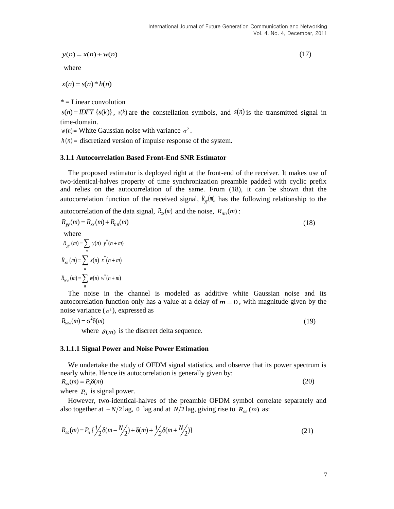$$
y(n) = x(n) + w(n) \tag{17}
$$

where

 $x(n) = s(n) * h(n)$ 

*\** = Linear convolution

 $s(n) = IDFT$  { $s(k)$ },  $s(k)$  are the constellation symbols, and  $s(n)$  is the transmitted signal in time-domain.

 $w(n)$  = White Gaussian noise with variance  $\sigma^2$ .

 $h(n)$  = discretized version of impulse response of the system.

#### **3.1.1 Autocorrelation Based Front-End SNR Estimator**

The proposed estimator is deployed right at the front-end of the receiver. It makes use of two-identical-halves property of time synchronization preamble padded with cyclic prefix and relies on the autocorrelation of the same. From (18), it can be shown that the autocorrelation function of the received signal,  $R_w(m)$ , has the following relationship to the

autocorrelation of the data signal,  $R_x(m)$  and the noise,  $R_{nn}(m)$ :

$$
R_{yy}(m) = R_{xx}(m) + R_{nn}(m)
$$
\nwhere  
\n
$$
R_{yy}(m) = \sum_{n} y(n) y^{*}(n+m)
$$
\n
$$
R_{xx}(m) = \sum_{n} x(n) x^{*}(n+m)
$$
\n
$$
R_{ww}(m) = \sum_{n} w(n) w^{*}(n+m)
$$
\nThe noise in the channel is modeled as additive white Gaussian noise and

e in the channel is modeled as additive white Gaussian noise and its autocorrelation function only has a value at a delay of  $m = 0$ , with magnitude given by the noise variance  $(\sigma^2)$ , expressed as

$$
R_{ww}(m) = \sigma^2 \delta(m) \tag{19}
$$

where  $\delta(m)$  is the discreet delta sequence.

#### **3.1.1.1 Signal Power and Noise Power Estimation**

We undertake the study of OFDM signal statistics, and observe that its power spectrum is nearly white. Hence its autocorrelation is generally given by:  $R_{ss}(m) = P_o \delta(m)$  $O_o\delta(m)$  (20)

where  $P_o$  is signal power.

However, two-identical-halves of the preamble OFDM symbol correlate separately and also together at  $-N/2$  lag, 0 lag and at  $N/2$  lag, giving rise to  $R_{ss}(m)$  as:

$$
R_{ss}(m) = P_o \left\{ \frac{1}{2} \delta(m - N_2) + \delta(m) + \frac{1}{2} \delta(m + N_2) \right\}
$$
 (21)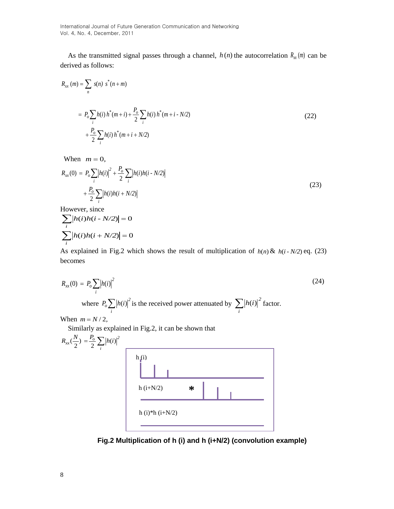As the transmitted signal passes through a channel,  $h(n)$  the autocorrelation  $R_{\text{xx}}(m)$  can be derived as follows:

$$
R_{xx}(m) = \sum_{n} s(n) s^{*}(n+m)
$$
  
=  $P_o \sum_{i} h(i) h^{*}(m+i) + \frac{P_o}{2} \sum_{i} h(i) h^{*}(m+i - N/2)$  (22)  
+  $\frac{P_o}{2} \sum_{i} h(i) h^{*}(m+i + N/2)$ 

When  $m = 0$ ,

$$
R_{xx}(0) = P_o \sum_{i} |h(i)|^2 + \frac{P_o}{2} \sum_{i} |h(i)h(i - N/2)| + \frac{P_o}{2} \sum_{i} |h(i)h(i + N/2)|
$$
\n(23)

However, since

$$
\sum_{i} |h(i)h(i - N/2)| = 0
$$
  

$$
\sum_{i} |h(i)h(i + N/2)| = 0
$$

As explained in Fig.2 which shows the result of multiplication of  $h(n) \&h(i - N/2)$  eq. (23) becomes

$$
R_{xx}(0) = P_o \sum_{i} |h(i)|^2
$$
  
\nwhere  $P_o \sum_{i} |h(i)|^2$  is the received power attenuated by  $\sum_{i} |h(i)|^2$  factor.  
\nWhen  $m = N/2$ ,  
\nSimilarly as explained in Fig.2, it can be shown that

$$
R_{xx}(\frac{N}{2}) = \frac{P_o}{2} \sum_{i} |h(i)|^2
$$
\n  
\nh (i+N/2)   
\n  
\nh (i+N/2)   
\n  
\nh (i)\*h (i+N/2)

 **Fig.2 Multiplication of h (i) and h (i+N/2) (convolution example)**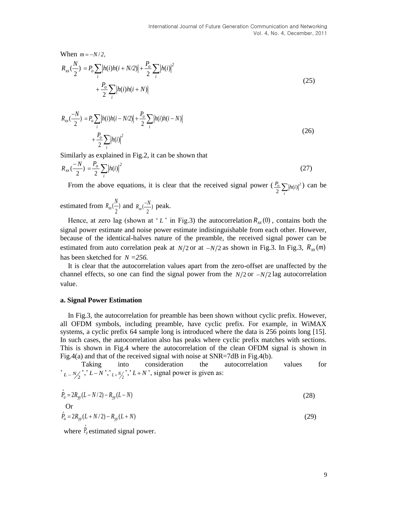When 
$$
m = -N/2
$$
,  
\n
$$
R_{xx}(\frac{N}{2}) = P_o \sum_{i} |h(i)h(i + N/2)| + \frac{P_o}{2} \sum_{i} |h(i)|^2 + \frac{P_o}{2} \sum_{i} |h(i)h(i + N)|
$$
\n
$$
R_{xx}(\frac{-N}{2}) = P_o \sum_{i} |h(i)h(i - N/2)| + \frac{P_o}{2} \sum_{i} |h(i)h(i - N)|
$$
\n(26)

$$
+\frac{P_o}{2}\sum_{i} \left|h(i)\right|^2\tag{26}
$$

Similarly as explained in Fig.2, it can be shown that

$$
R_{xx}(\frac{-N}{2}) = \frac{P_o}{2} \sum_{i} |h(i)|^2
$$
 (27)

From the above equations, it is clear that the received signal power  $(\frac{P_o}{r} \sum |h(i)|^2)$ *i*  $\frac{P_o}{2} \sum_i |h(i)|$ ) can be

estimated from  $R_{\alpha}(\frac{N}{2})$ 2  $R_{xx}(\frac{N}{2})$  and  $R_{xx}(\frac{-N}{2})$  peak.

Hence, at zero lag (shown at 'L' in Fig.3) the autocorrelation  $R_{xx}(0)$ , contains both the signal power estimate and noise power estimate indistinguishable from each other. However, because of the identical-halves nature of the preamble, the received signal power can be estimated from auto correlation peak at  $N/2$  or at  $-N/2$  as shown in Fig.3. In Fig.3,  $R_{xx}(m)$ has been sketched for *N =256.*

It is clear that the autocorrelation values apart from the zero-offset are unaffected by the channel effects, so one can find the signal power from the  $N/2$  or  $-N/2$  lag autocorrelation value.

### **a. Signal Power Estimation**

In Fig.3, the autocorrelation for preamble has been shown without cyclic prefix. However, all OFDM symbols, including preamble, have cyclic prefix. For example, in WiMAX systems, a cyclic prefix 64 sample long is introduced where the data is 256 points long [15]. In such cases, the autocorrelation also has peaks where cyclic prefix matches with sections. This is shown in Fig.4 where the autocorrelation of the clean OFDM signal is shown in Fig.4(a) and that of the received signal with noise at SNR=7dB in Fig.4(b).

 Taking into consideration the autocorrelation values for  $\int_{L-N/2}^{N}$ ,  $\int_{L+N/2}^{N}$ ,  $\int_{L+N/2}^{N}$ ,  $\int_{L+N}^{N}$ , signal power is given as:

$$
\hat{P}_o = 2R_{yy}(L - N/2) - R_{yy}(L - N)
$$
\n(28)

Or  

$$
\hat{P}_o = 2R_{yy}(L+N/2) - R_{yy}(L+N)
$$
\n(29)

where  $P_0$  estimated signal power.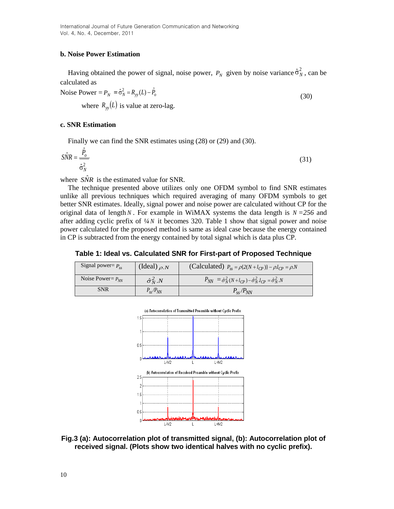### **b. Noise Power Estimation**

Having obtained the power of signal, noise power,  $P_N$  given by noise variance  $\hat{\sigma}_N^2$ , can be calculated as

Noise Power =  $P_N = \hat{\sigma}_N^2 = R_{yy}(L) - \hat{P}_o$ (30)

where  $R_{yy}(L)$  is value at zero-lag.

### **c. SNR Estimation**

Finally we can find the SNR estimates using (28) or (29) and (30).

$$
\hat{SNR} = \frac{\hat{P}_o}{\hat{\sigma}_N^2} \tag{31}
$$

where  $S\hat{N}R$  is the estimated value for SNR.

The technique presented above utilizes only one OFDM symbol to find SNR estimates unlike all previous techniques which required averaging of many OFDM symbols to get better SNR estimates. Ideally, signal power and noise power are calculated without CP for the original data of length N. For example in WiMAX systems the data length is  $N = 256$  and after adding cyclic prefix of *¼ N* it becomes 320. Table 1 show that signal power and noise power calculated for the proposed method is same as ideal case because the energy contained in CP is subtracted from the energy contained by total signal which is data plus CP.

**Table 1: Ideal vs. Calculated SNR for First-part of Proposed Technique**

| Signal power= $P_{ss}$ | (Ideal) $\rho$ . N        | (Calculated) $P_{ss} = \rho \{2(N + l_{CP})\} - \rho l_{CP} = \rho N$                   |
|------------------------|---------------------------|-----------------------------------------------------------------------------------------|
| Noise Power= $P_{NN}$  | $\hat{\sigma}_{N}^{2}$ .N | $P_{NN} = \hat{\sigma}_N^2 (N + l_{CP}) - \hat{\sigma}_N^2 l_{CP} = \hat{\sigma}_N^2 N$ |
| <b>SNR</b>             | $P_{ss}/P_{NN}$           | $P_{ss}/P_{NN}$                                                                         |





**Fig.3 (a): Autocorrelation plot of transmitted signal, (b): Autocorrelation plot of received signal. (Plots show two identical halves with no cyclic prefix).**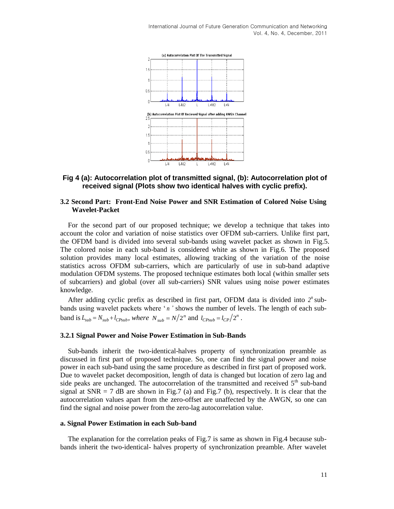

## **Fig 4 (a): Autocorrelation plot of transmitted signal, (b): Autocorrelation plot of received signal (Plots show two identical halves with cyclic prefix).**

### **3.2 Second Part: Front-End Noise Power and SNR Estimation of Colored Noise Using Wavelet-Packet**

For the second part of our proposed technique; we develop a technique that takes into account the color and variation of noise statistics over OFDM sub-carriers. Unlike first part, the OFDM band is divided into several sub-bands using wavelet packet as shown in Fig.5. The colored noise in each sub-band is considered white as shown in Fig.6. The proposed solution provides many local estimates, allowing tracking of the variation of the noise statistics across OFDM sub-carriers, which are particularly of use in sub-band adaptive modulation OFDM systems. The proposed technique estimates both local (within smaller sets of subcarriers) and global (over all sub-carriers) SNR values using noise power estimates knowledge.

After adding cyclic prefix as described in first part, OFDM data is divided into  $2<sup>n</sup>$  subbands using wavelet packets where 'n' shows the number of levels. The length of each subband is  $L_{sub} = N_{sub} + l_{CPsub}$ , where  $N_{sub} = N/2^n$  and  $l_{CPsub} = l_{CP}/2^n$ .

#### **3.2.1 Signal Power and Noise Power Estimation in Sub-Bands**

Sub-bands inherit the two-identical-halves property of synchronization preamble as discussed in first part of proposed technique. So, one can find the signal power and noise power in each sub-band using the same procedure as described in first part of proposed work. Due to wavelet packet decomposition, length of data is changed but location of zero lag and side peaks are unchanged. The autocorrelation of the transmitted and received  $5<sup>th</sup>$  sub-band signal at  $SNR = 7$  dB are shown in Fig.7 (a) and Fig.7 (b), respectively. It is clear that the autocorrelation values apart from the zero-offset are unaffected by the AWGN, so one can find the signal and noise power from the zero-lag autocorrelation value.

### **a. Signal Power Estimation in each Sub-band**

The explanation for the correlation peaks of Fig.7 is same as shown in Fig.4 because subbands inherit the two-identical- halves property of synchronization preamble. After wavelet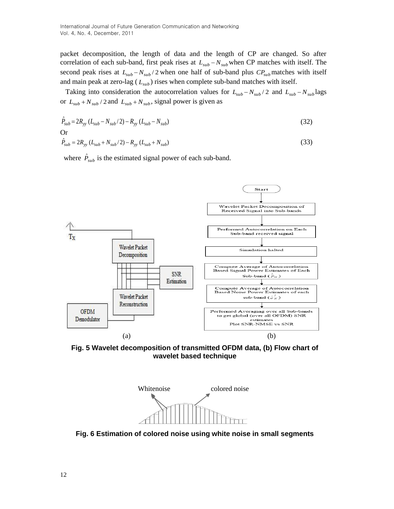packet decomposition, the length of data and the length of CP are changed. So after correlation of each sub-band, first peak rises at  $L_{sub} - N_{sub}$  when CP matches with itself. The second peak rises at  $L_{sub} - N_{sub}/2$  when one half of sub-band plus  $CP_{sub}$  matches with itself and main peak at zero-lag ( *Lsub* ) rises when complete sub-band matches with itself.

Taking into consideration the autocorrelation values for  $L_{sub} - N_{sub}/2$  and  $L_{sub} - N_{sub}$  lags or  $L_{sub} + N_{sub} / 2$  and  $L_{sub} + N_{sub}$ , signal power is given as

$$
\hat{P}_{sub} = 2R_{yy} (L_{sub} - N_{sub}/2) - R_{yy} (L_{sub} - N_{sub})
$$
\nOr

$$
\hat{P}_{sub} = 2R_{yy} (L_{sub} + N_{sub}/2) - R_{yy} (L_{sub} + N_{sub})
$$
\n(33)

where  $\hat{P}_{sub}$  is the estimated signal power of each sub-band.



**Fig. 5 Wavelet decomposition of transmitted OFDM data, (b) Flow chart of wavelet based technique**



**Fig. 6 Estimation of colored noise using white noise in small segments**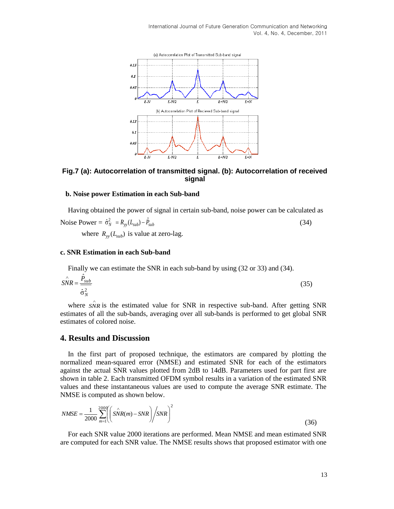

## **Fig.7 (a): Autocorrelation of transmitted signal. (b): Autocorrelation of received signal**

### **b. Noise power Estimation in each Sub-band**

Having obtained the power of signal in certain sub-band, noise power can be calculated as

$$
\text{Noise Power} = \hat{\sigma}_N^2 = R_{yy}(L_{sub}) - \hat{P}_{sub} \tag{34}
$$

where  $R_{yy}(L_{sub})$  is value at zero-lag.

### **c. SNR Estimation in each Sub-band**

Finally we can estimate the SNR in each sub-band by using (32 or 33) and (34).

$$
\hat{SNR} = \frac{\hat{P}_{sub}}{\hat{\sigma}_N^2}
$$
 (35)

where  $S\hat{N}R$  is the estimated value for SNR in respective sub-band. After getting SNR estimates of all the sub-bands, averaging over all sub-bands is performed to get global SNR estimates of colored noise.

### **4. Results and Discussion**

In the first part of proposed technique, the estimators are compared by plotting the normalized mean-squared error (NMSE) and estimated SNR for each of the estimators against the actual SNR values plotted from 2dB to 14dB. Parameters used for part first are shown in table 2. Each transmitted OFDM symbol results in a variation of the estimated SNR values and these instantaneous values are used to compute the average SNR estimate. The NMSE is computed as shown below.

$$
NMSE = \frac{1}{2000} \sum_{m=1}^{2000} \left( \frac{\hat{N}}{N}R(m) - SNR \right) / SNR \bigg)^2
$$
\n(36)

For each SNR value 2000 iterations are performed. Mean NMSE and mean estimated SNR are computed for each SNR value. The NMSE results shows that proposed estimator with one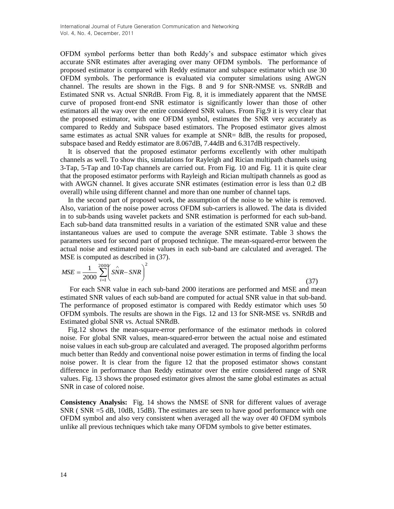OFDM symbol performs better than both Reddy"s and subspace estimator which gives accurate SNR estimates after averaging over many OFDM symbols. The performance of proposed estimator is compared with Reddy estimator and subspace estimator which use 30 OFDM symbols. The performance is evaluated via computer simulations using AWGN channel. The results are shown in the Figs. 8 and 9 for SNR-NMSE vs. SNRdB and Estimated SNR vs. Actual SNRdB. From Fig. 8, it is immediately apparent that the NMSE curve of proposed front-end SNR estimator is significantly lower than those of other estimators all the way over the entire considered SNR values. From Fig.9 it is very clear that the proposed estimator, with one OFDM symbol, estimates the SNR very accurately as compared to Reddy and Subspace based estimators. The Proposed estimator gives almost same estimates as actual SNR values for example at SNR= 8dB, the results for proposed, subspace based and Reddy estimator are 8.067dB, 7.44dB and 6.317dB respectively.

It is observed that the proposed estimator performs excellently with other multipath channels as well. To show this, simulations for Rayleigh and Rician multipath channels using 3-Tap, 5-Tap and 10-Tap channels are carried out. From Fig. 10 and Fig. 11 it is quite clear that the proposed estimator performs with Rayleigh and Rician multipath channels as good as with AWGN channel. It gives accurate SNR estimates (estimation error is less than 0.2 dB overall) while using different channel and more than one number of channel taps.

In the second part of proposed work, the assumption of the noise to be white is removed. Also, variation of the noise power across OFDM sub-carriers is allowed. The data is divided in to sub-bands using wavelet packets and SNR estimation is performed for each sub-band. Each sub-band data transmitted results in a variation of the estimated SNR value and these instantaneous values are used to compute the average SNR estimate. Table 3 shows the parameters used for second part of proposed technique. The mean-squared-error between the actual noise and estimated noise values in each sub-band are calculated and averaged. The MSE is computed as described in (37).

$$
MSE = \frac{1}{2000} \sum_{i=1}^{2000} \left( \widehat{SNR} - SNR \right)^2
$$

(37)

For each SNR value in each sub-band 2000 iterations are performed and MSE and mean estimated SNR values of each sub-band are computed for actual SNR value in that sub-band. The performance of proposed estimator is compared with Reddy estimator which uses 50 OFDM symbols. The results are shown in the Figs. 12 and 13 for SNR-MSE vs. SNRdB and Estimated global SNR vs. Actual SNRdB.

Fig.12 shows the mean-square-error performance of the estimator methods in colored noise. For global SNR values, mean-squared-error between the actual noise and estimated noise values in each sub-group are calculated and averaged. The proposed algorithm performs much better than Reddy and conventional noise power estimation in terms of finding the local noise power. It is clear from the figure 12 that the proposed estimator shows constant difference in performance than Reddy estimator over the entire considered range of SNR values. Fig. 13 shows the proposed estimator gives almost the same global estimates as actual SNR in case of colored noise.

**Consistency Analysis:** Fig. 14 shows the NMSE of SNR for different values of average SNR ( SNR =5 dB, 10dB, 15dB). The estimates are seen to have good performance with one OFDM symbol and also very consistent when averaged all the way over 40 OFDM symbols unlike all previous techniques which take many OFDM symbols to give better estimates.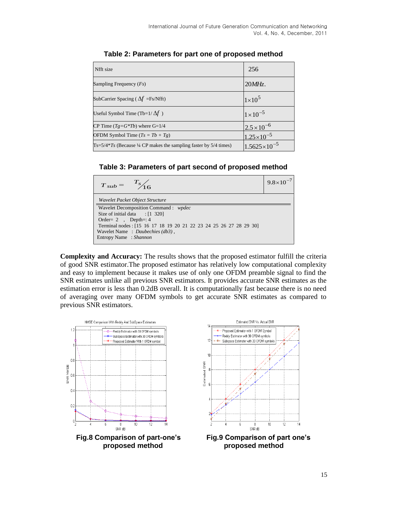| Nfft size                                                         | 256                     |
|-------------------------------------------------------------------|-------------------------|
| Sampling Frequency $(F_s)$                                        | $20MHz$ .               |
| SubCarrier Spacing ( $\Delta f = F_s \text{Nfft}$ )               | $1\times10^5$           |
| Useful Symbol Time (Tb= $1/\Delta f$ )                            | $1 \times 10^{-5}$      |
| CP Time $(Tg = G * Tb)$ where $G=1/4$                             | $2.5 \times 10^{-6}$    |
| OFDM Symbol Time $(T_s = Tb + T_g)$                               | $1.25 \times 10^{-5}$   |
| $Ts=5/4*Ts$ (Because ¼ CP makes the sampling faster by 5/4 times) | $1.5625 \times 10^{-5}$ |

**Table 2: Parameters for part one of proposed method**

## **Table 3: Parameters of part second of proposed method**

| $T_{sub} = T_s/16$                                                 | $9.8 \times 10^{-7}$ |  |  |
|--------------------------------------------------------------------|----------------------|--|--|
| Wavelet Packet Object Structure                                    |                      |  |  |
| Wavelet Decomposition Command : wpdec                              |                      |  |  |
| Size of initial data $\therefore$ [1 320]                          |                      |  |  |
| Order= $2$ , Depth=: 4                                             |                      |  |  |
| Terminal nodes : [15 16 17 18 19 20 21 22 23 24 25 26 27 28 29 30] |                      |  |  |
| Wavelet Name: <i>Daubechies</i> ( <i>db3</i> ),                    |                      |  |  |
| Entropy Name: Shannon                                              |                      |  |  |

**Complexity and Accuracy:** The results shows that the proposed estimator fulfill the criteria of good SNR estimator.The proposed estimator has relatively low computational complexity and easy to implement because it makes use of only one OFDM preamble signal to find the SNR estimates unlike all previous SNR estimators. It provides accurate SNR estimates as the estimation error is less than 0.2dB overall. It is computationally fast because there is no need of averaging over many OFDM symbols to get accurate SNR estimates as compared to previous SNR estimators.

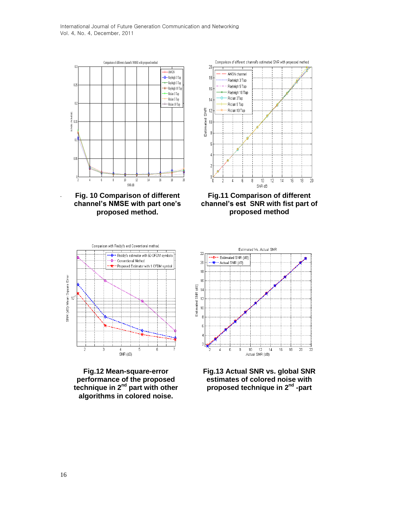

. **Fig. 10 Comparison of different channel's NMSE with part one's proposed method.**







**Fig.12 Mean-square-error performance of the proposed technique in 2nd part with other algorithms in colored noise.**



**Fig.13 Actual SNR vs. global SNR estimates of colored noise with proposed technique in 2nd -part**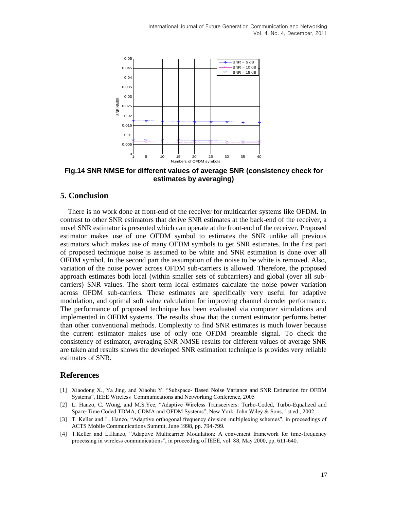

**Fig.14 SNR NMSE for different values of average SNR (consistency check for estimates by averaging)**

## **5. Conclusion**

There is no work done at front-end of the receiver for multicarrier systems like OFDM. In contrast to other SNR estimators that derive SNR estimates at the back-end of the receiver, a novel SNR estimator is presented which can operate at the front-end of the receiver. Proposed estimator makes use of one OFDM symbol to estimates the SNR unlike all previous estimators which makes use of many OFDM symbols to get SNR estimates. In the first part of proposed technique noise is assumed to be white and SNR estimation is done over all OFDM symbol. In the second part the assumption of the noise to be white is removed. Also, variation of the noise power across OFDM sub-carriers is allowed. Therefore, the proposed approach estimates both local (within smaller sets of subcarriers) and global (over all subcarriers) SNR values. The short term local estimates calculate the noise power variation across OFDM sub-carriers. These estimates are specifically very useful for adaptive modulation, and optimal soft value calculation for improving channel decoder performance. The performance of proposed technique has been evaluated via computer simulations and implemented in OFDM systems. The results show that the current estimator performs better than other conventional methods. Complexity to find SNR estimates is much lower because the current estimator makes use of only one OFDM preamble signal. To check the consistency of estimator, averaging SNR NMSE results for different values of average SNR are taken and results shows the developed SNR estimation technique is provides very reliable estimates of SNR.

## **References**

- [1] Xiaodong X., Ya Jing. and Xiaohu Y. "Subspace- Based Noise Variance and SNR Estimation for OFDM Systems", IEEE Wireless Communications and Networking Conference, 2005
- [2] L. Hanzo, C. Wong, and M.S.Yee, "Adaptive Wireless Transceivers: Turbo-Coded, Turbo-Equalized and Space-Time Coded TDMA, CDMA and OFDM Systems", New York: John Wiley & Sons, 1st ed., 2002.
- [3] T. Keller and L. Hanzo, "Adaptive orthogonal frequency division multiplexing schemes", in proceedings of ACTS Mobile Communications Summit, June 1998, pp. 794-799.
- [4] T.Keller and L.Hanzo, "Adaptive Multicarrier Modulation: A convenient framework for time-frequency processing in wireless communications", in proceeding of IEEE, vol. 88, May 2000, pp. 611-640.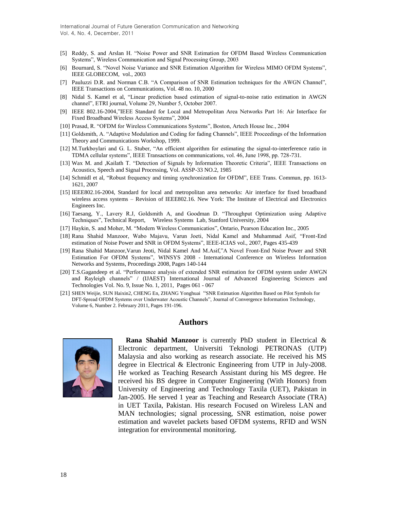- [5] Reddy, S. and Arslan H. "Noise Power and SNR Estimation for OFDM Based Wireless Communication Systems", Wireless Communication and Signal Processing Group, 2003
- [6] Bournard, S. "Novel Noise Variance and SNR Estimation Algorithm for Wireless MIMO OFDM Systems", IEEE GLOBECOM, vol., 2003
- [7] Pauluzzi D.R. and Norman C.B. "A Comparison of SNR Estimation techniques for the AWGN Channel", IEEE Transactions on Communications, Vol. 48 no. 10, 2000
- [8] Nidal S. Kamel et al, "Linear prediction based estimation of signal-to-noise ratio estimation in AWGN channel", ETRI journal, Volume 29, Number 5, October 2007.
- [9] IEEE 802.16-2004,"IEEE Standard for Local and Metropolitan Area Networks Part 16: Air Interface for Fixed Broadband Wireless Access Systems", 2004
- [10] Prasad, R. "OFDM for Wireless Communications Systems", Boston, Artech House Inc., 2004
- [11] Goldsmith, A. "Adaptive Modulation and Coding for fading Channels", IEEE Proceedings of the Information Theory and Communications Workshop, 1999.
- [12] M.Turkboylari and G. L. Stuber, "An efficient algorithm for estimating the signal-to-interference ratio in TDMA cellular systems", IEEE Transactions on communications, vol. 46, June 1998, pp. 728-731.
- [13] Wax M. and ,Kailath T. "Detection of Signals by Information Theoretic Criteria", IEEE Transactions on Acoustics, Speech and Signal Processing, Vol. ASSP-33 NO.2, 1985
- [14] Schmidl et al, "Robust frequency and timing synchronization for OFDM", EEE Trans. Commun, pp. 1613- 1621, 2007
- [15] IEEE802.16-2004, Standard for local and metropolitan area networks: Air interface for fixed broadband wireless access systems – Revision of IEEE802.16. New York: The Institute of Electrical and Electronics Engineers Inc.
- [16] Taesang, Y., Lavery R.J, Goldsmith A, and Goodman D. "Throughput Optimization using Adaptive Techniques", Technical Report, Wireless Systems Lab, Stanford University, 2004
- [17] Haykin, S. and Moher, M. "Modern Wireless Communicatios", Ontario, Pearson Education Inc., 2005
- [18] Rana Shahid Manzoor, Wabo Majavu, Varun Joeti, Nidal Kamel and Muhammad Asif, "Front-End estimation of Noise Power and SNR in OFDM Systems", IEEE-ICIAS vol., 2007, Pages 435-439
- [19] Rana Shahid Manzoor,Varun Jeoti, Nidal Kamel And M.Asif,"A Novel Front-End Noise Power and SNR Estimation For OFDM Systems", WINSYS 2008 - International Conference on Wireless Information Networks and Systems, Proceedings 2008, Pages 140-144
- [20] T.S.Gagandeep et al. "Performance analysis of extended SNR estimation for OFDM system under AWGN and Rayleigh channels" / (IJAEST) International Journal of Advanced Engineering Sciences and Technologies Vol. No. 9, Issue No. 1, 2011, Pages 061 - 067
- [21] SHEN Weijie, SUN Haixin2, CHENG En, ZHANG Yonghuai "SNR Estimation Algorithm Based on Pilot Symbols for DFT-Spread OFDM Systems over Underwater Acoustic Channels", Journal of Convergence Information Technology, Volume 6, Number 2. February 2011, Pages 191-196.

### **Authors**



**Rana Shahid Manzoor** is currently PhD student in Electrical & Electronic department, Universiti Teknologi PETRONAS (UTP) Malaysia and also working as research associate. He received his MS degree in Electrical & Electronic Engineering from UTP in July-2008. He worked as Teaching Research Assistant during his MS degree. He received his BS degree in Computer Engineering (With Honors) from University of Engineering and Technology Taxila (UET), Pakistan in Jan-2005. He served 1 year as Teaching and Research Associate (TRA) in UET Taxila, Pakistan. His research Focused on Wireless LAN and MAN technologies; signal processing, SNR estimation, noise power estimation and wavelet packets based OFDM systems, RFID and WSN integration for environmental monitoring.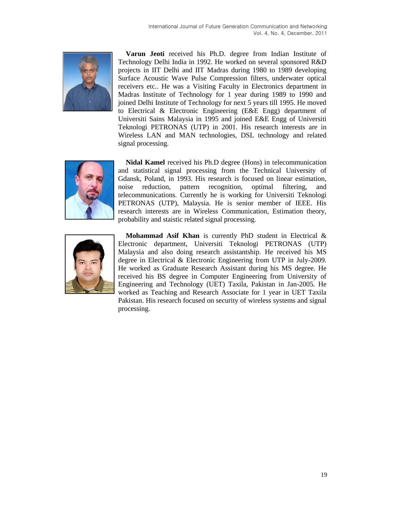

**Varun Jeoti** received his Ph.D. degree from Indian Institute of Technology Delhi India in 1992. He worked on several sponsored R&D projects in IIT Delhi and IIT Madras during 1980 to 1989 developing Surface Acoustic Wave Pulse Compression filters, underwater optical receivers etc.. He was a Visiting Faculty in Electronics department in Madras Institute of Technology for 1 year during 1989 to 1990 and joined Delhi Institute of Technology for next 5 years till 1995. He moved to Electrical & Electronic Engineering (E&E Engg) department of Universiti Sains Malaysia in 1995 and joined E&E Engg of Universiti Teknologi PETRONAS (UTP) in 2001. His research interests are in Wireless LAN and MAN technologies, DSL technology and related signal processing.



**Nidal Kamel** received his Ph.D degree (Hons) in telecommunication and statistical signal processing from the Technical University of Gdansk, Poland, in 1993. His research is focused on linear estimation, noise reduction, pattern recognition, optimal filtering, and telecommunications. Currently he is working for Universiti Teknologi PETRONAS (UTP), Malaysia. He is senior member of IEEE. His research interests are in Wireless Communication, Estimation theory, probability and staistic related signal processing.



**Mohammad Asif Khan** is currently PhD student in Electrical & Electronic department, Universiti Teknologi PETRONAS (UTP) Malaysia and also doing research assistantship. He received his MS degree in Electrical & Electronic Engineering from UTP in July-2009. He worked as Graduate Research Assistant during his MS degree. He received his BS degree in Computer Engineering from University of Engineering and Technology (UET) Taxila, Pakistan in Jan-2005. He worked as Teaching and Research Associate for 1 year in UET Taxila Pakistan. His research focused on security of wireless systems and signal processing.